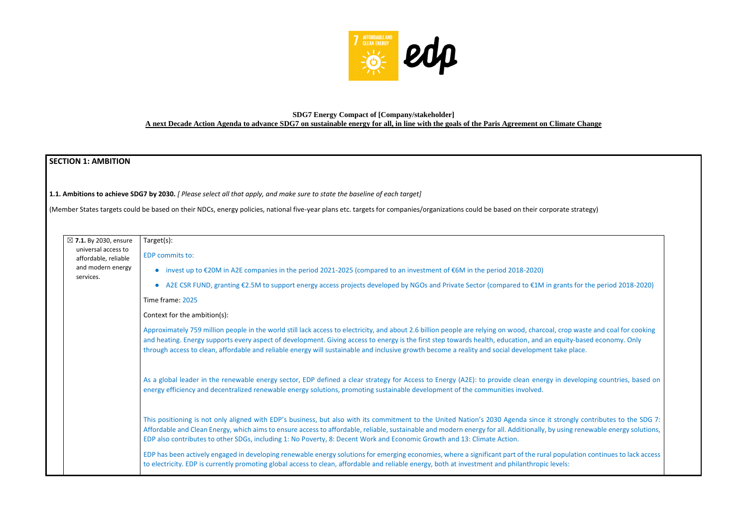

# **SDG7 Energy Compact of [Company/stakeholder] A next Decade Action Agenda to advance SDG7 on sustainable energy for all, in line with the goals of the Paris Agreement on Climate Change**

# **SECTION 1: AMBITION**

**1.1. Ambitions to achieve SDG7 by 2030.** *[ Please select all that apply, and make sure to state the baseline of each target]* 

(Member States targets could be based on their NDCs, energy policies, national five-year plans etc. targets for companies/organizations could be based on their corporate strategy)

| $\boxtimes$ 7.1. By 2030, ensure            | Target(s):                                                                                                                                                                                                                                                                                                                                                                                                                                                                                              |
|---------------------------------------------|---------------------------------------------------------------------------------------------------------------------------------------------------------------------------------------------------------------------------------------------------------------------------------------------------------------------------------------------------------------------------------------------------------------------------------------------------------------------------------------------------------|
| universal access to<br>affordable, reliable | EDP commits to:                                                                                                                                                                                                                                                                                                                                                                                                                                                                                         |
| and modern energy                           | invest up to €20M in A2E companies in the period 2021-2025 (compared to an investment of €6M in the period 2018-2020)                                                                                                                                                                                                                                                                                                                                                                                   |
| services.                                   | A2E CSR FUND, granting €2.5M to support energy access projects developed by NGOs and Private Sector (compared to €1M in grants for t<br>$\bullet$                                                                                                                                                                                                                                                                                                                                                       |
|                                             | Time frame: 2025                                                                                                                                                                                                                                                                                                                                                                                                                                                                                        |
|                                             | Context for the ambition(s):                                                                                                                                                                                                                                                                                                                                                                                                                                                                            |
|                                             | Approximately 759 million people in the world still lack access to electricity, and about 2.6 billion people are relying on wood, charcoal, crop was<br>and heating. Energy supports every aspect of development. Giving access to energy is the first step towards health, education, and an equity-bas<br>through access to clean, affordable and reliable energy will sustainable and inclusive growth become a reality and social development take place.                                           |
|                                             | As a global leader in the renewable energy sector, EDP defined a clear strategy for Access to Energy (A2E): to provide clean energy in develop<br>energy efficiency and decentralized renewable energy solutions, promoting sustainable development of the communities involved.                                                                                                                                                                                                                        |
|                                             | This positioning is not only aligned with EDP's business, but also with its commitment to the United Nation's 2030 Agenda since it strongly contained the United Nation's 2030 Agenda since it strongly contained by<br>Affordable and Clean Energy, which aims to ensure access to affordable, reliable, sustainable and modern energy for all. Additionally, by using rene<br>EDP also contributes to other SDGs, including 1: No Poverty, 8: Decent Work and Economic Growth and 13: Climate Action. |
|                                             | EDP has been actively engaged in developing renewable energy solutions for emerging economies, where a significant part of the rural population<br>to electricity. EDP is currently promoting global access to clean, affordable and reliable energy, both at investment and philanthropic levels:                                                                                                                                                                                                      |
|                                             |                                                                                                                                                                                                                                                                                                                                                                                                                                                                                                         |

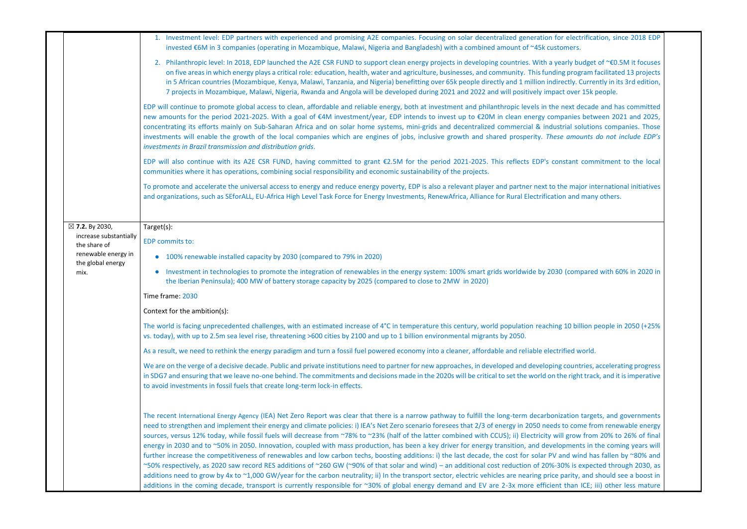|                                        | 1. Investment level: EDP partners with experienced and promising A2E companies. Focusing on solar decentralized generation for electrification, since 2018 EDP<br>invested €6M in 3 companies (operating in Mozambique, Malawi, Nigeria and Bangladesh) with a combined amount of ~45k customers.                                                                                                                                                                                                                                                                                                                                                                                                                                                                                                                                                                                                                                                                                                                                                                                                                                                                                                                                                                                                                                                                                                              |
|----------------------------------------|----------------------------------------------------------------------------------------------------------------------------------------------------------------------------------------------------------------------------------------------------------------------------------------------------------------------------------------------------------------------------------------------------------------------------------------------------------------------------------------------------------------------------------------------------------------------------------------------------------------------------------------------------------------------------------------------------------------------------------------------------------------------------------------------------------------------------------------------------------------------------------------------------------------------------------------------------------------------------------------------------------------------------------------------------------------------------------------------------------------------------------------------------------------------------------------------------------------------------------------------------------------------------------------------------------------------------------------------------------------------------------------------------------------|
|                                        | 2. Philanthropic level: In 2018, EDP launched the A2E CSR FUND to support clean energy projects in developing countries. With a yearly budget of ~€0.5M it focuses<br>on five areas in which energy plays a critical role: education, health, water and agriculture, businesses, and community. This funding program facilitated 13 projects<br>in 5 African countries (Mozambique, Kenya, Malawi, Tanzania, and Nigeria) benefitting over 65k people directly and 1 million indirectly. Currently in its 3rd edition,<br>7 projects in Mozambique, Malawi, Nigeria, Rwanda and Angola will be developed during 2021 and 2022 and will positively impact over 15k people.                                                                                                                                                                                                                                                                                                                                                                                                                                                                                                                                                                                                                                                                                                                                      |
|                                        | EDP will continue to promote global access to clean, affordable and reliable energy, both at investment and philanthropic levels in the next decade and has committed<br>new amounts for the period 2021-2025. With a goal of €4M investment/year, EDP intends to invest up to €20M in clean energy companies between 2021 and 2025,<br>concentrating its efforts mainly on Sub-Saharan Africa and on solar home systems, mini-grids and decentralized commercial & industrial solutions companies. Those<br>investments will enable the growth of the local companies which are engines of jobs, inclusive growth and shared prosperity. These amounts do not include EDP's<br>investments in Brazil transmission and distribution grids.                                                                                                                                                                                                                                                                                                                                                                                                                                                                                                                                                                                                                                                                     |
|                                        | EDP will also continue with its A2E CSR FUND, having committed to grant €2.5M for the period 2021-2025. This reflects EDP's constant commitment to the local<br>communities where it has operations, combining social responsibility and economic sustainability of the projects.                                                                                                                                                                                                                                                                                                                                                                                                                                                                                                                                                                                                                                                                                                                                                                                                                                                                                                                                                                                                                                                                                                                              |
|                                        | To promote and accelerate the universal access to energy and reduce energy poverty, EDP is also a relevant player and partner next to the major international initiatives<br>and organizations, such as SEforALL, EU-Africa High Level Task Force for Energy Investments, RenewAfrica, Alliance for Rural Electrification and many others.                                                                                                                                                                                                                                                                                                                                                                                                                                                                                                                                                                                                                                                                                                                                                                                                                                                                                                                                                                                                                                                                     |
| $\boxtimes$ 7.2. By 2030,              | Target(s):                                                                                                                                                                                                                                                                                                                                                                                                                                                                                                                                                                                                                                                                                                                                                                                                                                                                                                                                                                                                                                                                                                                                                                                                                                                                                                                                                                                                     |
| increase substantially<br>the share of | EDP commits to:                                                                                                                                                                                                                                                                                                                                                                                                                                                                                                                                                                                                                                                                                                                                                                                                                                                                                                                                                                                                                                                                                                                                                                                                                                                                                                                                                                                                |
| renewable energy in                    | • 100% renewable installed capacity by 2030 (compared to 79% in 2020)                                                                                                                                                                                                                                                                                                                                                                                                                                                                                                                                                                                                                                                                                                                                                                                                                                                                                                                                                                                                                                                                                                                                                                                                                                                                                                                                          |
| the global energy<br>mix.              | Investment in technologies to promote the integration of renewables in the energy system: 100% smart grids worldwide by 2030 (compared with 60% in 2020 in<br>the Iberian Peninsula); 400 MW of battery storage capacity by 2025 (compared to close to 2MW in 2020)                                                                                                                                                                                                                                                                                                                                                                                                                                                                                                                                                                                                                                                                                                                                                                                                                                                                                                                                                                                                                                                                                                                                            |
|                                        | Time frame: 2030                                                                                                                                                                                                                                                                                                                                                                                                                                                                                                                                                                                                                                                                                                                                                                                                                                                                                                                                                                                                                                                                                                                                                                                                                                                                                                                                                                                               |
|                                        | Context for the ambition(s):                                                                                                                                                                                                                                                                                                                                                                                                                                                                                                                                                                                                                                                                                                                                                                                                                                                                                                                                                                                                                                                                                                                                                                                                                                                                                                                                                                                   |
|                                        | The world is facing unprecedented challenges, with an estimated increase of 4°C in temperature this century, world population reaching 10 billion people in 2050 (+25%<br>vs. today), with up to 2.5m sea level rise, threatening >600 cities by 2100 and up to 1 billion environmental migrants by 2050.                                                                                                                                                                                                                                                                                                                                                                                                                                                                                                                                                                                                                                                                                                                                                                                                                                                                                                                                                                                                                                                                                                      |
|                                        | As a result, we need to rethink the energy paradigm and turn a fossil fuel powered economy into a cleaner, affordable and reliable electrified world.                                                                                                                                                                                                                                                                                                                                                                                                                                                                                                                                                                                                                                                                                                                                                                                                                                                                                                                                                                                                                                                                                                                                                                                                                                                          |
|                                        | We are on the verge of a decisive decade. Public and private institutions need to partner for new approaches, in developed and developing countries, accelerating progress<br>in SDG7 and ensuring that we leave no-one behind. The commitments and decisions made in the 2020s will be critical to set the world on the right track, and it is imperative<br>to avoid investments in fossil fuels that create long-term lock-in effects.                                                                                                                                                                                                                                                                                                                                                                                                                                                                                                                                                                                                                                                                                                                                                                                                                                                                                                                                                                      |
|                                        | The recent International Energy Agency (IEA) Net Zero Report was clear that there is a narrow pathway to fulfill the long-term decarbonization targets, and governments<br>need to strengthen and implement their energy and climate policies: i) IEA's Net Zero scenario foresees that 2/3 of energy in 2050 needs to come from renewable energy<br>sources, versus 12% today, while fossil fuels will decrease from ~78% to ~23% (half of the latter combined with CCUS); ii) Electricity will grow from 20% to 26% of final<br>energy in 2030 and to ~50% in 2050. Innovation, coupled with mass production, has been a key driver for energy transition, and developments in the coming years will<br>further increase the competitiveness of renewables and low carbon techs, boosting additions: i) the last decade, the cost for solar PV and wind has fallen by ~80% and<br>~50% respectively, as 2020 saw record RES additions of ~260 GW (~90% of that solar and wind) – an additional cost reduction of 20%-30% is expected through 2030, as<br>additions need to grow by 4x to ~1,000 GW/year for the carbon neutrality; ii) In the transport sector, electric vehicles are nearing price parity, and should see a boost in<br>additions in the coming decade, transport is currently responsible for ~30% of global energy demand and EV are 2-3x more efficient than ICE; iii) other less mature |

| electrification, since 2018 EDP<br>mers.                                                                                                                                                                                                                                      |  |
|-------------------------------------------------------------------------------------------------------------------------------------------------------------------------------------------------------------------------------------------------------------------------------|--|
| rly budget of ~€0.5M it focuses<br>program facilitated 13 projects<br>ctly. Currently in its 3rd edition,<br>over 15k people.                                                                                                                                                 |  |
| ext decade and has committed<br>anies between 2021 and 2025,<br>ial solutions companies. Those<br>amounts do not include EDP's                                                                                                                                                |  |
| stant commitment to the local                                                                                                                                                                                                                                                 |  |
| e major international initiatives<br>and many others.                                                                                                                                                                                                                         |  |
|                                                                                                                                                                                                                                                                               |  |
| (compared with 60% in 2020 in                                                                                                                                                                                                                                                 |  |
| 10 billion people in 2050 (+25%                                                                                                                                                                                                                                               |  |
| fied world.                                                                                                                                                                                                                                                                   |  |
| countries, accelerating progress<br>e right track, and it is imperative                                                                                                                                                                                                       |  |
| ation targets, and governments<br>o come from renewable energy<br>grow from 20% to 26% of final<br>oments in the coming years will<br>d wind has fallen by ~80% and<br>% is expected through 2030, as<br>arity, and should see a boost in<br>than ICE; iii) other less mature |  |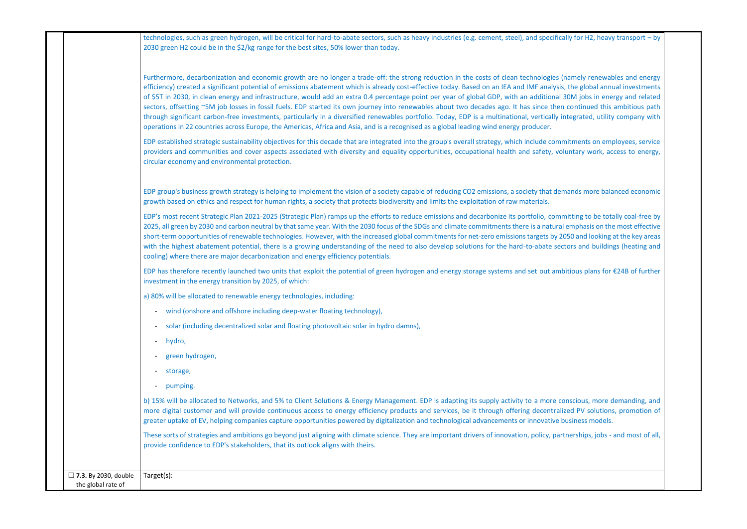|                                                   | technologies, such as green hydrogen, will be critical for hard-to-abate sectors, such as heavy industries (e.g. cement, steel), and specifically for H2, heavy transport - by<br>2030 green H2 could be in the \$2/kg range for the best sites, 50% lower than today.                                                                                                                                                                                                                                                                                                                                                                                                                                                                                                                                                                                                                                                                                                                                                      |
|---------------------------------------------------|-----------------------------------------------------------------------------------------------------------------------------------------------------------------------------------------------------------------------------------------------------------------------------------------------------------------------------------------------------------------------------------------------------------------------------------------------------------------------------------------------------------------------------------------------------------------------------------------------------------------------------------------------------------------------------------------------------------------------------------------------------------------------------------------------------------------------------------------------------------------------------------------------------------------------------------------------------------------------------------------------------------------------------|
|                                                   | Furthermore, decarbonization and economic growth are no longer a trade-off: the strong reduction in the costs of clean technologies (namely renewables and energy<br>efficiency) created a significant potential of emissions abatement which is already cost-effective today. Based on an IEA and IMF analysis, the global annual investments<br>of \$5T in 2030, in clean energy and infrastructure, would add an extra 0.4 percentage point per year of global GDP, with an additional 30M jobs in energy and related<br>sectors, offsetting ~5M job losses in fossil fuels. EDP started its own journey into renewables about two decades ago. It has since then continued this ambitious path<br>through significant carbon-free investments, particularly in a diversified renewables portfolio. Today, EDP is a multinational, vertically integrated, utility company with<br>operations in 22 countries across Europe, the Americas, Africa and Asia, and is a recognised as a global leading wind energy producer. |
|                                                   | EDP established strategic sustainability objectives for this decade that are integrated into the group's overall strategy, which include commitments on employees, service<br>providers and communities and cover aspects associated with diversity and equality opportunities, occupational health and safety, voluntary work, access to energy,<br>circular economy and environmental protection.                                                                                                                                                                                                                                                                                                                                                                                                                                                                                                                                                                                                                         |
|                                                   | EDP group's business growth strategy is helping to implement the vision of a society capable of reducing CO2 emissions, a society that demands more balanced economic<br>growth based on ethics and respect for human rights, a society that protects biodiversity and limits the exploitation of raw materials.                                                                                                                                                                                                                                                                                                                                                                                                                                                                                                                                                                                                                                                                                                            |
|                                                   | EDP's most recent Strategic Plan 2021-2025 (Strategic Plan) ramps up the efforts to reduce emissions and decarbonize its portfolio, committing to be totally coal-free by<br>2025, all green by 2030 and carbon neutral by that same year. With the 2030 focus of the SDGs and climate commitments there is a natural emphasis on the most effective<br>short-term opportunities of renewable technologies. However, with the increased global commitments for net-zero emissions targets by 2050 and looking at the key areas<br>with the highest abatement potential, there is a growing understanding of the need to also develop solutions for the hard-to-abate sectors and buildings (heating and<br>cooling) where there are major decarbonization and energy efficiency potentials.                                                                                                                                                                                                                                 |
|                                                   | EDP has therefore recently launched two units that exploit the potential of green hydrogen and energy storage systems and set out ambitious plans for €24B of further<br>investment in the energy transition by 2025, of which:                                                                                                                                                                                                                                                                                                                                                                                                                                                                                                                                                                                                                                                                                                                                                                                             |
|                                                   | a) 80% will be allocated to renewable energy technologies, including:                                                                                                                                                                                                                                                                                                                                                                                                                                                                                                                                                                                                                                                                                                                                                                                                                                                                                                                                                       |
|                                                   | wind (onshore and offshore including deep-water floating technology),                                                                                                                                                                                                                                                                                                                                                                                                                                                                                                                                                                                                                                                                                                                                                                                                                                                                                                                                                       |
|                                                   | solar (including decentralized solar and floating photovoltaic solar in hydro damns),<br>$\overline{\phantom{a}}$                                                                                                                                                                                                                                                                                                                                                                                                                                                                                                                                                                                                                                                                                                                                                                                                                                                                                                           |
|                                                   | hydro,<br>$\sim$                                                                                                                                                                                                                                                                                                                                                                                                                                                                                                                                                                                                                                                                                                                                                                                                                                                                                                                                                                                                            |
|                                                   | green hydrogen,                                                                                                                                                                                                                                                                                                                                                                                                                                                                                                                                                                                                                                                                                                                                                                                                                                                                                                                                                                                                             |
|                                                   | storage,                                                                                                                                                                                                                                                                                                                                                                                                                                                                                                                                                                                                                                                                                                                                                                                                                                                                                                                                                                                                                    |
|                                                   | pumping.<br>$\overline{\phantom{a}}$                                                                                                                                                                                                                                                                                                                                                                                                                                                                                                                                                                                                                                                                                                                                                                                                                                                                                                                                                                                        |
|                                                   | b) 15% will be allocated to Networks, and 5% to Client Solutions & Energy Management. EDP is adapting its supply activity to a more conscious, more demanding, and<br>more digital customer and will provide continuous access to energy efficiency products and services, be it through offering decentralized PV solutions, promotion of<br>greater uptake of EV, helping companies capture opportunities powered by digitalization and technological advancements or innovative business models.                                                                                                                                                                                                                                                                                                                                                                                                                                                                                                                         |
|                                                   | These sorts of strategies and ambitions go beyond just aligning with climate science. They are important drivers of innovation, policy, partnerships, jobs - and most of all,<br>provide confidence to EDP's stakeholders, that its outlook aligns with theirs.                                                                                                                                                                                                                                                                                                                                                                                                                                                                                                                                                                                                                                                                                                                                                             |
| $\Box$ 7.3. By 2030, double<br>the global rate of | Target(s):                                                                                                                                                                                                                                                                                                                                                                                                                                                                                                                                                                                                                                                                                                                                                                                                                                                                                                                                                                                                                  |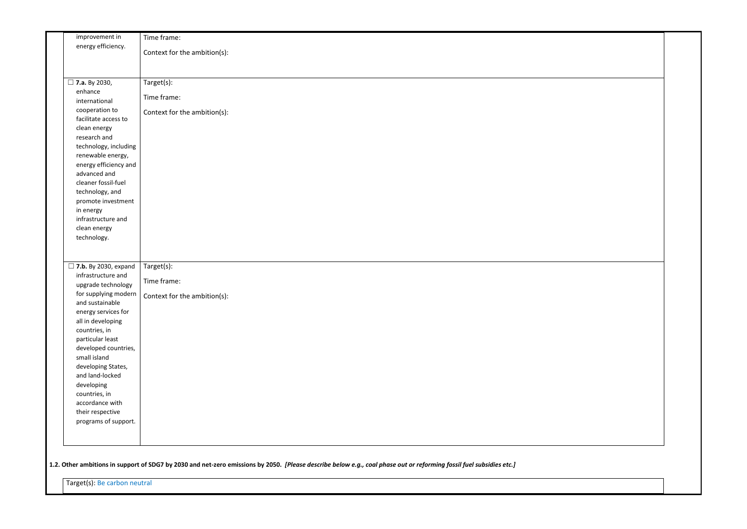| improvement in                                       | Time frame:                  |
|------------------------------------------------------|------------------------------|
| energy efficiency.                                   | Context for the ambition(s): |
|                                                      |                              |
|                                                      |                              |
|                                                      |                              |
| $\Box$ 7.a. By 2030,<br>enhance                      | Target(s):                   |
| international                                        | Time frame:                  |
| cooperation to                                       |                              |
| facilitate access to                                 | Context for the ambition(s): |
| clean energy                                         |                              |
| research and                                         |                              |
| technology, including                                |                              |
| renewable energy,                                    |                              |
| energy efficiency and                                |                              |
| advanced and                                         |                              |
| cleaner fossil-fuel                                  |                              |
| technology, and                                      |                              |
| promote investment                                   |                              |
| in energy                                            |                              |
| infrastructure and                                   |                              |
| clean energy                                         |                              |
| technology.                                          |                              |
|                                                      |                              |
|                                                      |                              |
| $\square$ 7.b. By 2030, expand<br>infrastructure and | Target(s):                   |
| upgrade technology                                   | Time frame:                  |
| for supplying modern                                 |                              |
| and sustainable                                      | Context for the ambition(s): |
| energy services for                                  |                              |
| all in developing                                    |                              |
| countries, in                                        |                              |
| particular least                                     |                              |
| developed countries,                                 |                              |
| small island                                         |                              |
| developing States,                                   |                              |
| and land-locked                                      |                              |
| developing                                           |                              |
| countries, in                                        |                              |
| accordance with                                      |                              |
| their respective<br>programs of support.             |                              |
|                                                      |                              |
|                                                      |                              |
|                                                      |                              |
|                                                      |                              |

1.2. Other ambitions in support of SDG7 by 2030 and net-zero emissions by 2050. *[Please describe below e.g., coal phase out or reforming fossil fuel subsidies etc.]* 

Target(s): Be carbon neutral

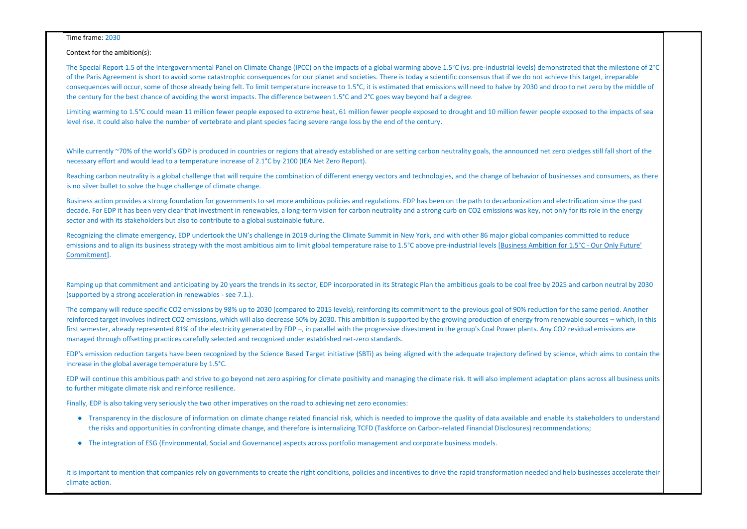Time frame: 2030

Context for the ambition(s):

The Special Report 1.5 of the Intergovernmental Panel on Climate Change (IPCC) on the impacts of a global warming above 1.5°C (vs. pre-industrial levels) demonst of the Paris Agreement is short to avoid some catastrophic consequences for our planet and societies. There is today a scientific consensus that if we do not achieve consequences will occur, some of those already being felt. To limit temperature increase to 1.5°C, it is estimated that emissions will need to halve by 2030 and drop the century for the best chance of avoiding the worst impacts. The difference between 1.5°C and 2°C goes way beyond half a degree.

Limiting warming to 1.5°C could mean 11 million fewer people exposed to extreme heat, 61 million fewer people exposed to drought and 10 million fewer people e level rise. It could also halve the number of vertebrate and plant species facing severe range loss by the end of the century.

While currently ~70% of the world's GDP is produced in countries or regions that already established or are setting carbon neutrality goals, the announced net zero necessary effort and would lead to a temperature increase of 2.1°C by 2100 (IEA Net Zero Report).

Reaching carbon neutrality is a global challenge that will require the combination of different energy vectors and technologies, and the change of behavior of busines is no silver bullet to solve the huge challenge of climate change.

Business action provides a strong foundation for governments to set more ambitious policies and regulations. EDP has been on the path to decarbonization and ele decade. For EDP it has been very clear that investment in renewables, a long-term vision for carbon neutrality and a strong curb on CO2 emissions was key, not only sector and with its stakeholders but also to contribute to a global sustainable future.

Recognizing the climate emergency, EDP undertook the UN's challenge in 2019 during the Climate Summit in New York, and with other 86 major global companies emissions and to align its business strategy with the most ambitious aim to limit global temperature raise to 1.5°C above pre-industrial levels [Business Ambition fo [Commitment\]](https://www.unglobalcompact.org/take-action/events/climate-action-summit-2019/business-ambition/business-leaders-taking-action).

Ramping up that commitment and anticipating by 20 years the trends in its sector, EDP incorporated in its Strategic Plan the ambitious goals to be coal free by 2025 (supported by a strong acceleration in renewables - see 7.1.).

The company will reduce specific CO2 emissions by 98% up to 2030 (compared to 2015 levels), reinforcing its commitment to the previous goal of 90% reduction fo reinforced target involves indirect CO2 emissions, which will also decrease 50% by 2030. This ambition is supported by the growing production of energy from rene first semester, already represented 81% of the electricity generated by EDP –, in parallel with the progressive divestment in the group's Coal Power plants. Any CO. managed through offsetting practices carefully selected and recognized under established net-zero standards.

EDP's emission reduction targets have been recognized by the Science Based Target initiative (SBTi) as being aligned with the adequate trajectory defined by science, by science, by science, by to contain the solence to con increase in the global average temperature by 1.5°C.

EDP will continue this ambitious path and strive to go beyond net zero aspiring for climate positivity and managing the climate risk. It will also implement adaptation to further mitigate climate risk and reinforce resilience.

- Transparency in the disclosure of information on climate change related financial risk, which is needed to improve the quality of data available and enable the risks and opportunities in confronting climate change, and therefore is internalizing TCFD (Taskforce on Carbon-related Financial Disclosures) recommen
- The integration of ESG (Environmental, Social and Governance) aspects across portfolio management and corporate business models.

It is important to mention that companies rely on governments to create the right conditions, policies and incentives to drive the rapid transformation needed and climate action.

| trated that the milestone of 2°C<br>e this target, irreparable<br>p to net zero by the middle of |  |
|--------------------------------------------------------------------------------------------------|--|
| exposed to the impacts of sea                                                                    |  |
| p pledges still fall short of the                                                                |  |
| nesses and consumers, as there                                                                   |  |
| ectrification since the past<br>y for its role in the energy                                     |  |
| committed to reduce<br>or 1.5°C - Our Only Future'                                               |  |
| 5 and carbon neutral by 2030                                                                     |  |
| or the same period. Another<br>ewable sources - which, in this<br>2 residual emissions are       |  |
| ence, which aims to contain the                                                                  |  |
| n plans across all business units                                                                |  |
| its stakeholders to understand<br>ndations;                                                      |  |
| help businesses accelerate their                                                                 |  |

Finally, EDP is also taking very seriously the two other imperatives on the road to achieving net zero economies: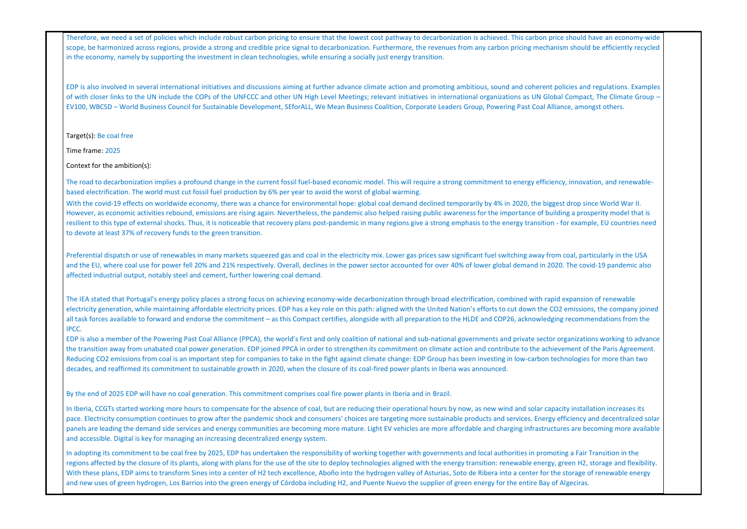Therefore, we need a set of policies which include robust carbon pricing to ensure that the lowest cost pathway to decarbonization is achieved. This carbon price scope, be harmonized across regions, provide a strong and credible price signal to decarbonization. Furthermore, the revenues from any carbon pricing mechanism in the economy, namely by supporting the investment in clean technologies, while ensuring a socially just energy transition.

EDP is also involved in several international initiatives and discussions aiming at further advance climate action and promoting ambitious, sound and coherent policies and regulations. Examples and regulations and regulati of with closer links to the UN include the COPs of the UNFCCC and other UN High Level Meetings; relevant initiatives in international organizations as UN Global EV100, WBCSD – World Business Council for Sustainable Development, SEforALL, We Mean Business Coalition, Corporate Leaders Group, Powering Past Coal Allian

The road to decarbonization implies a profound change in the current fossil fuel-based economic model. This will require a strong commitment to energy efficiency based electrification. The world must cut fossil fuel production by 6% per year to avoid the worst of global warming.

With the covid-19 effects on worldwide economy, there was a chance for environmental hope: global coal demand declined temporarily by 4% in 2020, the biggest However, as economic activities rebound, emissions are rising again. Nevertheless, the pandemic also helped raising public awareness for the importance of building a prosperity model to a prosper that is model to model tha resilient to this type of external shocks. Thus, it is noticeable that recovery plans post-pandemic in many regions give a strong emphasis to the energy transition - for example, Thus, It is noticeable that recovery plans to devote at least 37% of recovery funds to the green transition.

Target(s): Be coal free

Time frame: 2025

Context for the ambition(s):

Preferential dispatch or use of renewables in many markets squeezed gas and coal in the electricity mix. Lower gas prices saw significant fuel switching away from and the EU, where coal use for power fell 20% and 21% respectively. Overall, declines in the power sector accounted for over 40% of lower global demand in 2020. affected industrial output, notably steel and cement, further lowering coal demand.

The IEA stated that Portugal's energy policy places a strong focus on achieving economy-wide decarbonization through broad electrification, combined with rapid of renewable with rapid of renewable match of renewable discus electricity generation, while maintaining affordable electricity prices. EDP has a key role on this path: aligned with the United Nation's efforts to cut down the CO2 all task forces available to forward and endorse the commitment – as this Compact certifies, alongside with all preparation to the HLDE and COP26, acknowledging IPCC.

EDP is also a member of the Powering Past Coal Alliance (PPCA), the world's first and only coalition of national and sub-national governments and private sector or the transition away from unabated coal power generation. EDP joined PPCA in order to strengthen its commitment on climate action and contribute to the achieve Reducing CO2 emissions from coal is an important step for companies to take in the fight against climate change: EDP Group has been investing in low-carbon tech decades, and reaffirmed its commitment to sustainable growth in 2020, when the closure of its coal-fired power plants in Iberia was announced.

In Iberia, CCGTs started working more hours to compensate for the absence of coal, but are reducing their operational hours by now, as new wind and solar capacity in Iberia, CCGTs started working more hours to compensate f pace. Electricity consumption continues to grow after the pandemic shock and consumers' choices are targeting more sustainable products and services. Energy ef panels are leading the demand side services and energy communities are becoming more mature. Light EV vehicles are more affordable and charging infrastructur and accessible. Digital is key for managing an increasing decentralized energy system.

In adopting its commitment to be coal free by 2025, EDP has undertaken the responsibility of working together with governments and local authorities in promotin regions affected by the closure of its plants, along with plans for the use of the site to deploy technologies aligned with the energy transition: renewable energy, green H2, storage and flexibility. With these plans, EDP aims to transform Sines into a center of H2 tech excellence, Aboño into the hydrogen valley of Asturias, Soto de Ribera into a center for the and new uses of green hydrogen, Los Barrios into the green energy of Córdoba including H2, and Puente Nuevo the supplier of green energy for the entire Bay of A

| should have an economy-wide       |  |
|-----------------------------------|--|
| m should be efficiently recycled  |  |
|                                   |  |
|                                   |  |
|                                   |  |
|                                   |  |
|                                   |  |
| licies and regulations. Examples  |  |
|                                   |  |
| Compact, The Climate Group -      |  |
| ice, amongst others.              |  |
|                                   |  |
|                                   |  |
|                                   |  |
|                                   |  |
|                                   |  |
|                                   |  |
|                                   |  |
|                                   |  |
|                                   |  |
|                                   |  |
| y, innovation, and renewable-     |  |
|                                   |  |
|                                   |  |
| t drop since World War II.        |  |
| ng a prosperity model that is     |  |
| or example, EU countries need     |  |
|                                   |  |
|                                   |  |
|                                   |  |
|                                   |  |
| coal, particularly in the USA     |  |
| . The covid-19 pandemic also      |  |
|                                   |  |
|                                   |  |
|                                   |  |
|                                   |  |
| expansion of renewable            |  |
| emissions, the company joined     |  |
|                                   |  |
| recommendations from the          |  |
|                                   |  |
|                                   |  |
| ganizations working to advance    |  |
| ement of the Paris Agreement.     |  |
| inologies for more than two       |  |
|                                   |  |
|                                   |  |
|                                   |  |
|                                   |  |
|                                   |  |
|                                   |  |
| ity installation increases its    |  |
|                                   |  |
| ficiency and decentralized solar  |  |
| es are becoming more available    |  |
|                                   |  |
|                                   |  |
|                                   |  |
| ng a Fair Transition in the       |  |
| reen H2, storage and flexibility. |  |
| storage of renewable energy       |  |
|                                   |  |
| Igeciras.                         |  |
|                                   |  |

By the end of 2025 EDP will have no coal generation. This commitment comprises coal fire power plants in Iberia and in Brazil.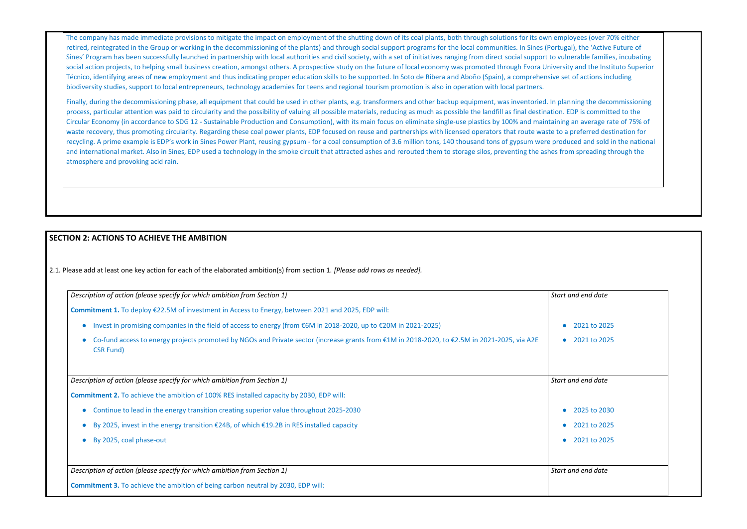The company has made immediate provisions to mitigate the impact on employment of the shutting down of its coal plants, both through solutions for its own em retired, reintegrated in the Group or working in the decommissioning of the plants) and through social support programs for the local communities. In Sines (Portu Sines' Program has been successfully launched in partnership with local authorities and civil society, with a set of initiatives ranging from direct social support to vu social action projects, to helping small business creation, amongst others. A prospective study on the future of local economy was promoted through Evora University and the Instituto Superiors and the Instituto Superiors A Técnico, identifying areas of new employment and thus indicating proper education skills to be supported. In Soto de Ribera and Aboño (Spain), a comprehensive set of actions including to action actions including including biodiversity studies, support to local entrepreneurs, technology academies for teens and regional tourism promotion is also in operation with local partners.

Finally, during the decommissioning phase, all equipment that could be used in other plants, e.g. transformers and other backup equipment, was inventoried. In planning the decommissioning phase, all equipment of the decomm process, particular attention was paid to circularity and the possibility of valuing all possible materials, reducing as much as possible the landfill as final destination. Circular Economy (in accordance to SDG 12 - Sustainable Production and Consumption), with its main focus on eliminate single-use plastics by 100% and maintaining waste recovery, thus promoting circularity. Regarding these coal power plants, EDP focused on reuse and partnerships with licensed operators that route waste to recycling. A prime example is EDP's work in Sines Power Plant, reusing gypsum - for a coal consumption of 3.6 million tons, 140 thousand tons of gypsum were produced and sold in the national sold in the national sold in th and international market. Also in Sines, EDP used a technology in the smoke circuit that attracted ashes and rerouted them to storage silos, preventing the ashes fr atmosphere and provoking acid rain.

# **SECTION 2: ACTIONS TO ACHIEVE THE AMBITION**

2.1. Please add at least one key action for each of the elaborated ambition(s) from section 1. *[Please add rows as needed].*

| employees (over 70% either<br>ortugal), the 'Active Future of<br>to vulnerable families, incubating<br>iversity and the Instituto Superior<br>ive set of actions including                                     |  |
|----------------------------------------------------------------------------------------------------------------------------------------------------------------------------------------------------------------|--|
| In planning the decommissioning<br>tion. EDP is committed to the<br>aining an average rate of 75% of<br>e to a preferred destination for<br>produced and sold in the national<br>es from spreading through the |  |
|                                                                                                                                                                                                                |  |
|                                                                                                                                                                                                                |  |
| Start and end date                                                                                                                                                                                             |  |

- 2021 to 2025
- 2021 to 2025

| Description of action (please specify for which ambition from Section 1)                                                                                                       | <b>Start</b> |
|--------------------------------------------------------------------------------------------------------------------------------------------------------------------------------|--------------|
| <b>Commitment 1.</b> To deploy $\epsilon$ 22.5M of investment in Access to Energy, between 2021 and 2025, EDP will:                                                            |              |
| Invest in promising companies in the field of access to energy (from €6M in 2018-2020, up to €20M in 2021-2025)<br>$\bullet$                                                   |              |
| Co-fund access to energy projects promoted by NGOs and Private sector (increase grants from €1M in 2018-2020, to €2.5M in 2021-2025, via A2E<br>$\bullet$<br><b>CSR Fund</b> ) |              |
| Description of action (please specify for which ambition from Section 1)                                                                                                       | <b>Start</b> |
| Commitment 2. To achieve the ambition of 100% RES installed capacity by 2030, EDP will:                                                                                        |              |
| Continue to lead in the energy transition creating superior value throughout 2025-2030<br>$\bullet$                                                                            |              |
| By 2025, invest in the energy transition $\epsilon$ 24B, of which $\epsilon$ 19.2B in RES installed capacity                                                                   |              |
| By 2025, coal phase-out<br>$\bullet$                                                                                                                                           |              |
|                                                                                                                                                                                |              |
| Description of action (please specify for which ambition from Section 1)                                                                                                       | <b>Start</b> |
| <b>Commitment 3.</b> To achieve the ambition of being carbon neutral by 2030, EDP will:                                                                                        |              |

*Start and end date* 

- 2025 to 2030
- 2021 to 2025
- 2021 to 2025

and end date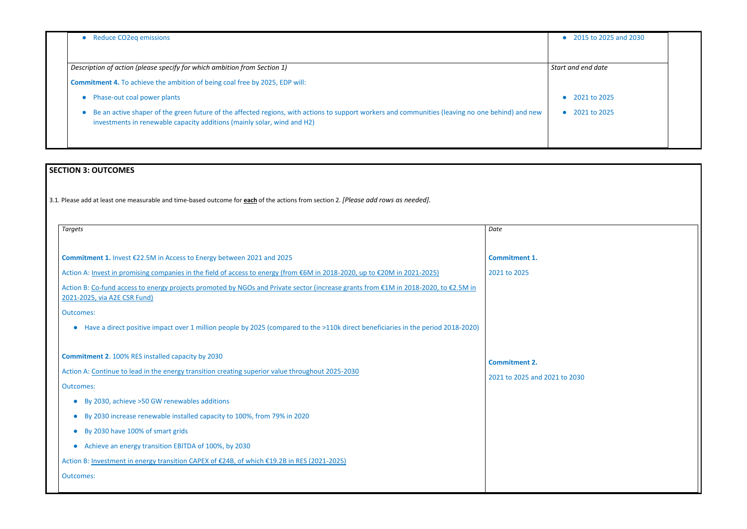| • Reduce CO2eq emissions                                                                                                                                                                                                      | • 2015 to 2025 and 2030   |
|-------------------------------------------------------------------------------------------------------------------------------------------------------------------------------------------------------------------------------|---------------------------|
| Description of action (please specify for which ambition from Section 1)                                                                                                                                                      | Start and end date        |
| <b>Commitment 4.</b> To achieve the ambition of being coal free by 2025, EDP will:                                                                                                                                            |                           |
| • Phase-out coal power plants                                                                                                                                                                                                 | 2021 to 2025<br>$\bullet$ |
| • Be an active shaper of the green future of the affected regions, with actions to support workers and communities (leaving no one behind) and new<br>investments in renewable capacity additions (mainly solar, wind and H2) | • $2021$ to $2025$        |
|                                                                                                                                                                                                                               |                           |

| $\bullet$ | 2015 to 2025 and 2030 |  |
|-----------|-----------------------|--|
|           |                       |  |
|           | Start and end date    |  |
|           |                       |  |
| $\bullet$ | 2021 to 2025          |  |
| $\bullet$ | 2021 to 2025          |  |
|           |                       |  |
|           |                       |  |

 $to 2030$ 

# **SECTION 3: OUTCOMES**

3.1*.* Please add at least one measurable and time-based outcome for **each** of the actions from section 2. *[Please add rows as needed].*

| <b>Targets</b>                                                                                                                                                                                                                                                                                                                                                                                                                                                                                                                                 | Date                                             |
|------------------------------------------------------------------------------------------------------------------------------------------------------------------------------------------------------------------------------------------------------------------------------------------------------------------------------------------------------------------------------------------------------------------------------------------------------------------------------------------------------------------------------------------------|--------------------------------------------------|
| Commitment 1. Invest €22.5M in Access to Energy between 2021 and 2025<br>Action A: Invest in promising companies in the field of access to energy (from €6M in 2018-2020, up to €20M in 2021-2025)<br>Action B: Co-fund access to energy projects promoted by NGOs and Private sector (increase grants from €1M in 2018-2020, to €2.5M in<br>2021-2025, via A2E CSR Fund)<br><b>Outcomes:</b><br>Have a direct positive impact over 1 million people by 2025 (compared to the >110k direct beneficiaries in the period 2018-2020)<br>$\bullet$ | <b>Commitment 1.</b><br>2021 to 2025             |
| <b>Commitment 2.</b> 100% RES installed capacity by 2030<br>Action A: Continue to lead in the energy transition creating superior value throughout 2025-2030<br><b>Outcomes:</b>                                                                                                                                                                                                                                                                                                                                                               | <b>Commitment 2.</b><br>2021 to 2025 and 2021 to |
| By 2030, achieve >50 GW renewables additions<br>By 2030 increase renewable installed capacity to 100%, from 79% in 2020<br>By 2030 have 100% of smart grids<br>Achieve an energy transition EBITDA of 100%, by 2030<br>Action B: Investment in energy transition CAPEX of €24B, of which €19.2B in RES (2021-2025)<br><b>Outcomes:</b>                                                                                                                                                                                                         |                                                  |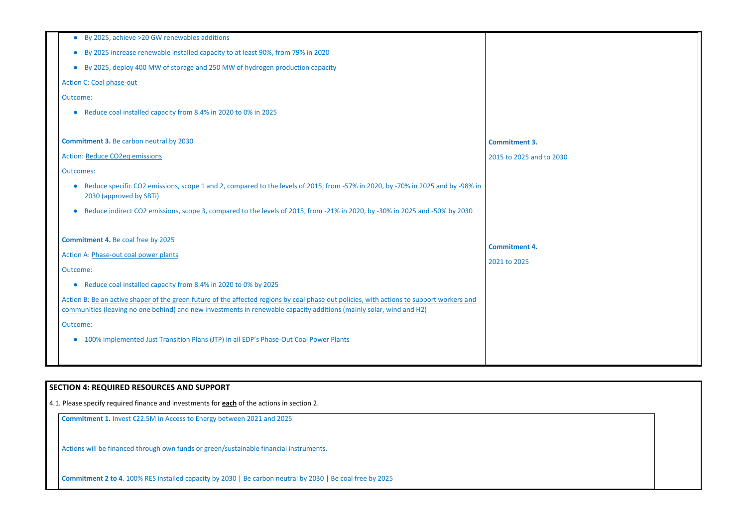| By 2025, achieve >20 GW renewables additions<br>$\bullet$                                                                                                                                                                                                        |                          |
|------------------------------------------------------------------------------------------------------------------------------------------------------------------------------------------------------------------------------------------------------------------|--------------------------|
| By 2025 increase renewable installed capacity to at least 90%, from 79% in 2020<br>$\bullet$                                                                                                                                                                     |                          |
| By 2025, deploy 400 MW of storage and 250 MW of hydrogen production capacity<br>$\bullet$                                                                                                                                                                        |                          |
| <b>Action C: Coal phase-out</b>                                                                                                                                                                                                                                  |                          |
| Outcome:                                                                                                                                                                                                                                                         |                          |
| Reduce coal installed capacity from 8.4% in 2020 to 0% in 2025<br>$\bullet$                                                                                                                                                                                      |                          |
|                                                                                                                                                                                                                                                                  |                          |
| <b>Commitment 3. Be carbon neutral by 2030</b>                                                                                                                                                                                                                   | <b>Commitment 3.</b>     |
| <b>Action: Reduce CO2eq emissions</b>                                                                                                                                                                                                                            | 2015 to 2025 and to 2030 |
| <b>Outcomes:</b>                                                                                                                                                                                                                                                 |                          |
| Reduce specific CO2 emissions, scope 1 and 2, compared to the levels of 2015, from -57% in 2020, by -70% in 2025 and by -98% in<br>$\bullet$<br>2030 (approved by SBTi)                                                                                          |                          |
| Reduce indirect CO2 emissions, scope 3, compared to the levels of 2015, from -21% in 2020, by -30% in 2025 and -50% by 2030<br>$\bullet$                                                                                                                         |                          |
| <b>Commitment 4. Be coal free by 2025</b>                                                                                                                                                                                                                        |                          |
| Action A: Phase-out coal power plants                                                                                                                                                                                                                            | <b>Commitment 4.</b>     |
| Outcome:                                                                                                                                                                                                                                                         | 2021 to 2025             |
| Reduce coal installed capacity from 8.4% in 2020 to 0% by 2025<br>$\bullet$                                                                                                                                                                                      |                          |
| Action B: Be an active shaper of the green future of the affected regions by coal phase out policies, with actions to support workers and<br>communities (leaving no one behind) and new investments in renewable capacity additions (mainly solar, wind and H2) |                          |
| Outcome:                                                                                                                                                                                                                                                         |                          |
| 100% implemented Just Transition Plans (JTP) in all EDP's Phase-Out Coal Power Plants<br>$\bullet$                                                                                                                                                               |                          |
|                                                                                                                                                                                                                                                                  |                          |
|                                                                                                                                                                                                                                                                  |                          |

# **SECTION 4: REQUIRED RESOURCES AND SUPPORT**

4.1. Please specify required finance and investments for **each** of the actions in section 2.

**Commitment 1.** Invest €22.5M in Access to Energy between 2021 and 2025

Actions will be financed through own funds or green/sustainable financial instruments.

**Commitment 2 to 4**. 100% RES installed capacity by 2030 | Be carbon neutral by 2030 | Be coal free by 2025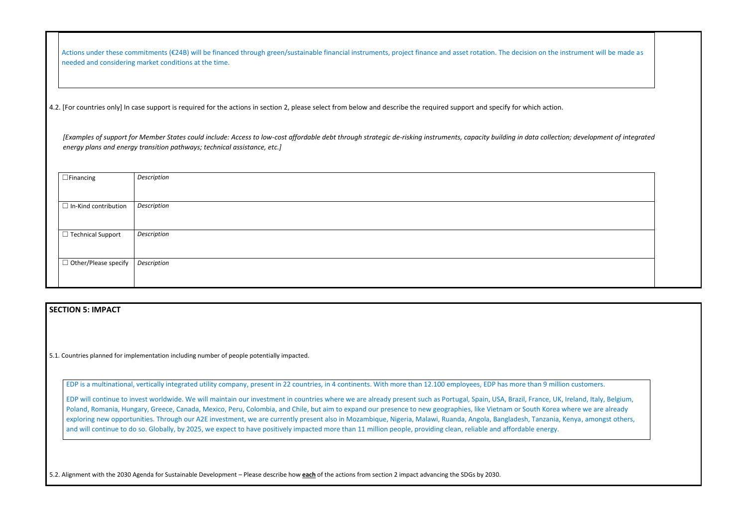Actions under these commitments (€24B) will be financed through green/sustainable financial instruments, project finance and asset rotation. The decision on the instrument will be made as needed and considering market conditions at the time.

4.2. [For countries only] In case support is required for the actions in section 2, please select from below and describe the required support and specify for which action.

*[Examples of support for Member States could include: Access to low-cost affordable debt through strategic de-risking instruments, capacity building in data collection; development of integrated energy plans and energy transition pathways; technical assistance, etc.]*

| $\Box$ Financing            | Description |
|-----------------------------|-------------|
|                             |             |
| $\Box$ In-Kind contribution | Description |
|                             |             |
| □ Technical Support         | Description |
|                             |             |
| $\Box$ Other/Please specify | Description |
|                             |             |

## **SECTION 5: IMPACT**

5.1. Countries planned for implementation including number of people potentially impacted.

EDP is a multinational, vertically integrated utility company, present in 22 countries, in 4 continents. With more than 12.100 employees, EDP has more than 9 million customers.

EDP will continue to invest worldwide. We will maintain our investment in countries where we are already present such as Portugal, Spain, USA, Brazil, France, UK, Ireland, Italy, Belgium, Poland, Romania, Hungary, Greece, Canada, Mexico, Peru, Colombia, and Chile, but aim to expand our presence to new geographies, like Vietnam or South Korea where we are already exploring new opportunities. Through our A2E investment, we are currently present also in Mozambique, Nigeria, Malawi, Ruanda, Angola, Bangladesh, Tanzania, Kenya, amongst others, and will continue to do so. Globally, by 2025, we expect to have positively impacted more than 11 million people, providing clean, reliable and affordable energy.

5.2. Alignment with the 2030 Agenda for Sustainable Development – Please describe how **each** of the actions from section 2 impact advancing the SDGs by 2030.

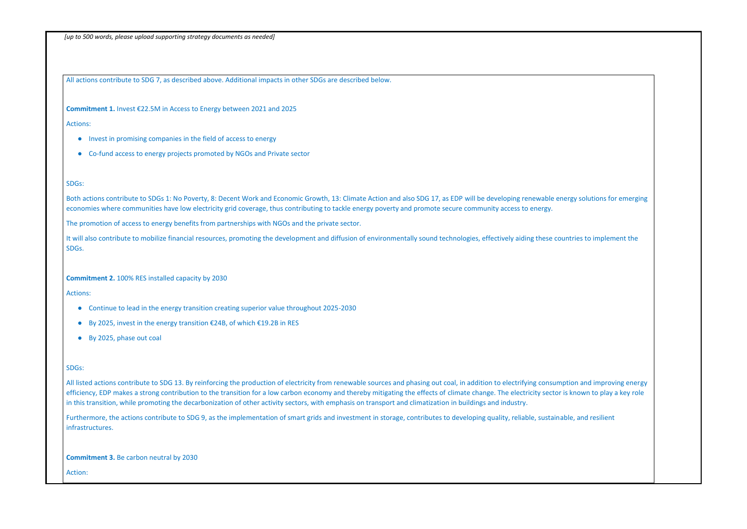*[up to 500 words, please upload supporting strategy documents as needed]* 

All actions contribute to SDG 7, as described above. Additional impacts in other SDGs are described below.

**Commitment 1.** Invest €22.5M in Access to Energy between 2021 and 2025

Actions:

- Invest in promising companies in the field of access to energy
- Co-fund access to energy projects promoted by NGOs and Private sector

#### SDGs:

It will also contribute to mobilize financial resources, promoting the development and diffusion of environmentally sound technologies, effectively aiding these countries to implement the SDGs.

Both actions contribute to SDGs 1: No Poverty, 8: Decent Work and Economic Growth, 13: Climate Action and also SDG 17, as EDP will be developing renewable energy solutions for emerging economies where communities have low electricity grid coverage, thus contributing to tackle energy poverty and promote secure community access to energy.

The promotion of access to energy benefits from partnerships with NGOs and the private sector.

All listed actions contribute to SDG 13. By reinforcing the production of electricity from renewable sources and phasing out coal, in addition to electrifying consumption and improving energy efficiency, EDP makes a strong contribution to the transition for a low carbon economy and thereby mitigating the effects of climate change. The electricity sector is known to play a key role in this transition, while promoting the decarbonization of other activity sectors, with emphasis on transport and climatization in buildings and industry.

**Commitment 2.** 100% RES installed capacity by 2030

Actions:

- Continue to lead in the energy transition creating superior value throughout 2025-2030
- By 2025, invest in the energy transition €24B, of which €19.2B in RES
- By 2025, phase out coal

#### SDGs:

Furthermore, the actions contribute to SDG 9, as the implementation of smart grids and investment in storage, contributes to developing quality, reliable, sustainable, and resilient infrastructures.

**Commitment 3.** Be carbon neutral by 2030

Action:

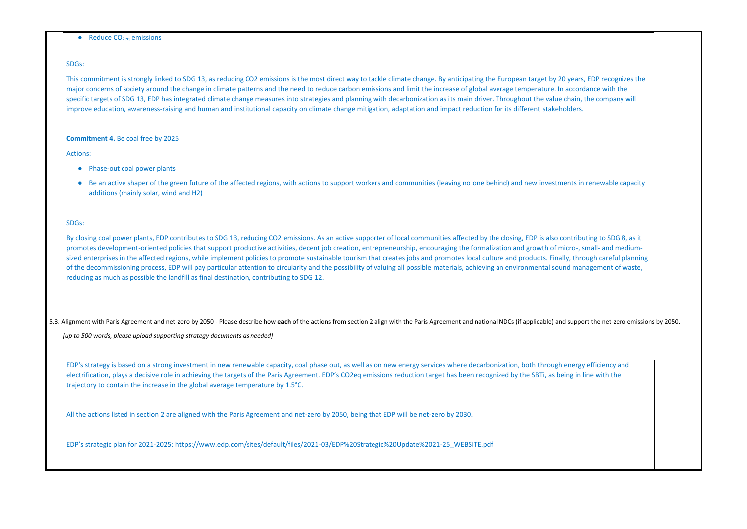$\bullet$  Reduce CO<sub>2eq</sub> emissions

#### SDGs:

This commitment is strongly linked to SDG 13, as reducing CO2 emissions is the most direct way to tackle climate change. By anticipating the European target by 20 years, EDP recognizes the major concerns of society around the change in climate patterns and the need to reduce carbon emissions and limit the increase of global average temperature. In accordance with the specific targets of SDG 13, EDP has integrated climate change measures into strategies and planning with decarbonization as its main driver. Throughout the value chain, the company will improve education, awareness-raising and human and institutional capacity on climate change mitigation, adaptation and impact reduction for its different stakeholders.

- Phase-out coal power plants
- Be an active shaper of the green future of the affected regions, with actions to support workers and communities (leaving no one behind) and new investments in renewable capacity additions (mainly solar, wind and H2)

#### **Commitment 4.** Be coal free by 2025

Actions:

By closing coal power plants, EDP contributes to SDG 13, reducing CO2 emissions. As an active supporter of local communities affected by the closing, EDP is also contributing to SDG 8, as it promotes development-oriented policies that support productive activities, decent job creation, entrepreneurship, encouraging the formalization and growth of micro-, small- and mediumsized enterprises in the affected regions, while implement policies to promote sustainable tourism that creates jobs and promotes local culture and products. Finally, through careful planning of the decommissioning process, EDP will pay particular attention to circularity and the possibility of valuing all possible materials, achieving an environmental sound management of waste, reducing as much as possible the landfill as final destination, contributing to SDG 12.

5.3. Alignment with Paris Agreement and net-zero by 2050 - Please describe how each of the actions from section 2 align with the Paris Agreement and national NDCs (if applicable) and support the net-zero emissions by 2050.

#### SDGs:

*[up to 500 words, please upload supporting strategy documents as needed]* 

EDP's strategy is based on a strong investment in new renewable capacity, coal phase out, as well as on new energy services where decarbonization, both through energy efficiency and electrification, plays a decisive role in achieving the targets of the Paris Agreement. EDP's CO2eq emissions reduction target has been recognized by the SBTi, as being in line with the trajectory to contain the increase in the global average temperature by 1.5°C.

All the actions listed in section 2 are aligned with the Paris Agreement and net-zero by 2050, being that EDP will be net-zero by 2030.

EDP's strategic plan for 2021-2025: [https://www.edp.com/sites/default/files/2021-03/EDP%20Strategic%20Update%2021-25\\_WEBSITE.pdf](https://www.edp.com/sites/default/files/2021-03/EDP%20Strategic%20Update%2021-25_WEBSITE.pdf)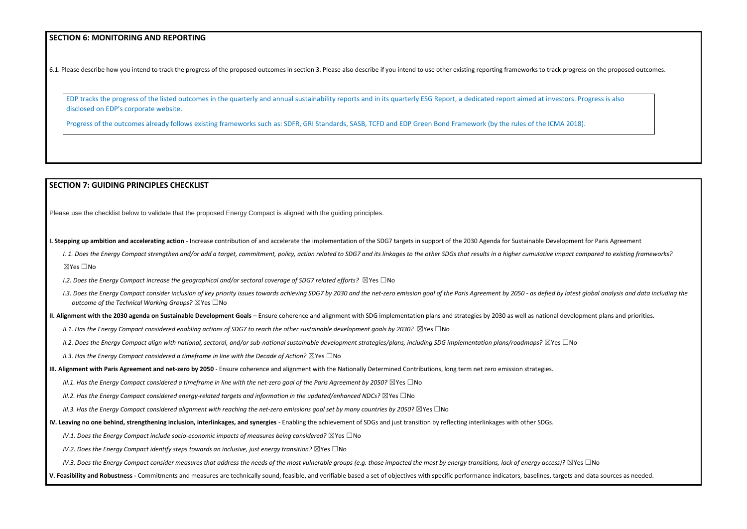### **SECTION 6: MONITORING AND REPORTING**

6.1. Please describe how you intend to track the progress of the proposed outcomes in section 3. Please also describe if you intend to use other existing reporting frameworks to track progress on the proposed outcomes.

EDP tracks the progress of the listed outcomes in the quarterly and annual sustainability reports and in its quarterly ESG Report, a dedicated report aimed at investors. Progress is also disclosed on EDP's corporate website.

Progress of the outcomes already follows existing frameworks such as: SDFR, GRI Standards, SASB, TCFD and EDP Green Bond Framework (by the rules of the ICMA 2018).

I. 1. Does the Energy Compact strengthen and/or add a target, commitment, policy, action related to SDG7 and its linkages to the other SDGs that results in a higher cumulative impact compared to existing frameworks? ☒Yes ☐No

#### **SECTION 7: GUIDING PRINCIPLES CHECKLIST**

Please use the checklist below to validate that the proposed Energy Compact is aligned with the guiding principles.

**I. Stepping up ambition and accelerating action** - Increase contribution of and accelerate the implementation of the SDG7 targets in support of the 2030 Agenda for Sustainable Development for Paris Agreement

- *I.2. Does the Energy Compact increase the geographical and/or sectoral coverage of SDG7 related efforts?* ⊠Yes □No
- I.3. Does the Energy Compact consider inclusion of key priority issues towards achieving SDG7 by 2030 and the net-zero emission goal of the Paris Agreement by 2050 as defied by latest global analysis and data including t *outcome of the Technical Working Groups?* ☒Yes ☐No
- **II. Alignment with the 2030 agenda on Sustainable Development Goals** Ensure coherence and alignment with SDG implementation plans and strategies by 2030 as well as national development plans and priorities.
	- *II.1. Has the Energy Compact considered enabling actions of SDG7 to reach the other sustainable development goals by 2030?* ⊠Yes □No
	- *II.2. Does the Energy Compact align with national, sectoral, and/or sub-national sustainable development strategies/plans, including SDG implementation plans/roadmaps?* ☒Yes ☐No

*II.3. Has the Energy Compact considered a timeframe in line with the Decade of Action?* ⊠Yes □No

- **III. Alignment with Paris Agreement and net-zero by 2050** Ensure coherence and alignment with the Nationally Determined Contributions, long term net zero emission strategies.
	- *III.1. Has the Energy Compact considered a timeframe in line with the net-zero goal of the Paris Agreement by 2050?* ⊠Yes □No
	- *III.2. Has the Energy Compact considered energy-related targets and information in the updated/enhanced NDCs?* ⊠Yes □No
	- *III.3. Has the Energy Compact considered alignment with reaching the net-zero emissions goal set by many countries by 2050?* ⊠Yes □No
- **IV. Leaving no one behind, strengthening inclusion, interlinkages, and synergies** Enabling the achievement of SDGs and just transition by reflecting interlinkages with other SDGs.
	- *IV.1. Does the Energy Compact include socio-economic impacts of measures being considered?* ⊠Yes □No
	- *IV.2. Does the Energy Compact identify steps towards an inclusive, just energy transition?* ⊠Yes □No
	- *IV.3. Does the Energy Compact consider measures that address the needs of the most vulnerable groups (e.g. those impacted the most by energy transitions, lack of energy access)?* ⊠Yes □No

#### **V. Feasibility and Robustness -** Commitments and measures are technically sound, feasible, and verifiable based a set of objectives with specific performance indicators, baselines, targets and data sources as needed.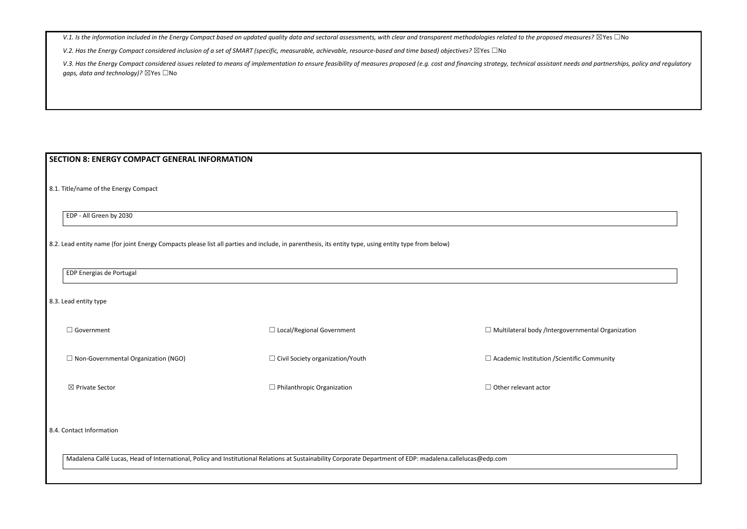V.1. Is the information included in the Energy Compact based on updated quality data and sectoral assessments, with clear and transparent methodologies related to the proposed

*V.2. Has the Energy Compact considered inclusion of a set of SMART (specific, measurable, achievable, resource-based and time based) objectives?* ⊠Yes □No

V.3. Has the Energy Compact considered issues related to means of implementation to ensure feasibility of measures proposed (e.g. cost and financing strategy, technical assistant needs and partnerships, policy and regulato *gaps, data and technology)?* ☒Yes ☐No

| $\Box$ Government                          | $\Box$ Local/Regional Government        | $\Box$ Multilateral body /Intergovernmental Organization |
|--------------------------------------------|-----------------------------------------|----------------------------------------------------------|
| $\Box$ Non-Governmental Organization (NGO) | $\Box$ Civil Society organization/Youth | $\Box$ Academic Institution / Scientific Community       |
| ⊠ Private Sector                           | $\Box$ Philanthropic Organization       | $\Box$ Other relevant actor                              |

## **SECTION 8: ENERGY COMPACT GENERAL INFORMATION**

8.1. Title/name of the Energy Compact

EDP - All Green by 2030

8.2. Lead entity name (for joint Energy Compacts please list all parties and include, in parenthesis, its entity type, using entity type from below)

EDP Energias de Portugal

8.3. Lead entity type

8.4. Contact Information

Madalena Callé Lucas, Head of International, Policy and Institutional Relations at Sustainability Corporate Department of EDP: madalena.callelucas@edp.com

| measures? $\boxtimes$ Yes $\Box$ No |  |  |
|-------------------------------------|--|--|
|-------------------------------------|--|--|

| overnmental Organization |  |
|--------------------------|--|
|                          |  |
|                          |  |
| entific Community        |  |
|                          |  |
|                          |  |
|                          |  |
|                          |  |
|                          |  |
|                          |  |
|                          |  |
|                          |  |
|                          |  |
|                          |  |
|                          |  |
|                          |  |
|                          |  |
|                          |  |